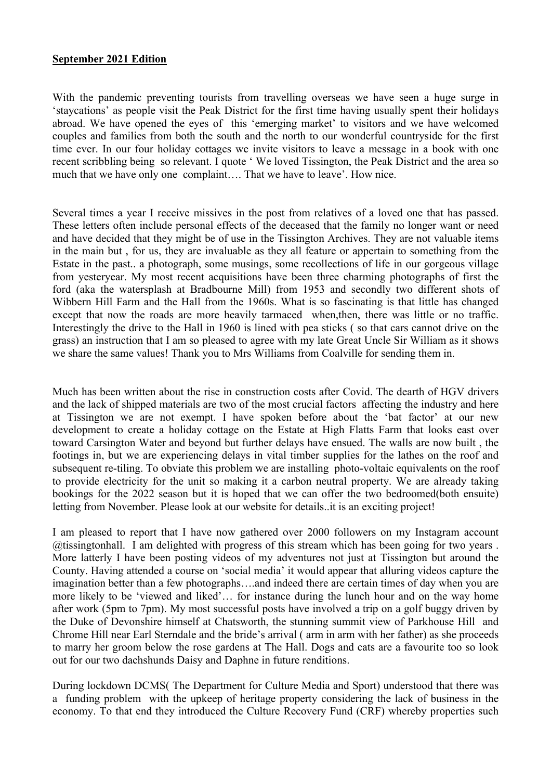## **September 2021 Edition**

With the pandemic preventing tourists from travelling overseas we have seen a huge surge in 'staycations' as people visit the Peak District for the first time having usually spent their holidays abroad. We have opened the eyes of this 'emerging market' to visitors and we have welcomed couples and families from both the south and the north to our wonderful countryside for the first time ever. In our four holiday cottages we invite visitors to leave a message in a book with one recent scribbling being so relevant. I quote ' We loved Tissington, the Peak District and the area so much that we have only one complaint…. That we have to leave'. How nice.

Several times a year I receive missives in the post from relatives of a loved one that has passed. These letters often include personal effects of the deceased that the family no longer want or need and have decided that they might be of use in the Tissington Archives. They are not valuable items in the main but , for us, they are invaluable as they all feature or appertain to something from the Estate in the past.. a photograph, some musings, some recollections of life in our gorgeous village from yesteryear. My most recent acquisitions have been three charming photographs of first the ford (aka the watersplash at Bradbourne Mill) from 1953 and secondly two different shots of Wibbern Hill Farm and the Hall from the 1960s. What is so fascinating is that little has changed except that now the roads are more heavily tarmaced when,then, there was little or no traffic. Interestingly the drive to the Hall in 1960 is lined with pea sticks ( so that cars cannot drive on the grass) an instruction that I am so pleased to agree with my late Great Uncle Sir William as it shows we share the same values! Thank you to Mrs Williams from Coalville for sending them in.

Much has been written about the rise in construction costs after Covid. The dearth of HGV drivers and the lack of shipped materials are two of the most crucial factors affecting the industry and here at Tissington we are not exempt. I have spoken before about the 'bat factor' at our new development to create a holiday cottage on the Estate at High Flatts Farm that looks east over toward Carsington Water and beyond but further delays have ensued. The walls are now built , the footings in, but we are experiencing delays in vital timber supplies for the lathes on the roof and subsequent re-tiling. To obviate this problem we are installing photo-voltaic equivalents on the roof to provide electricity for the unit so making it a carbon neutral property. We are already taking bookings for the 2022 season but it is hoped that we can offer the two bedroomed(both ensuite) letting from November. Please look at our website for details..it is an exciting project!

I am pleased to report that I have now gathered over 2000 followers on my Instagram account @tissingtonhall. I am delighted with progress of this stream which has been going for two years . More latterly I have been posting videos of my adventures not just at Tissington but around the County. Having attended a course on 'social media' it would appear that alluring videos capture the imagination better than a few photographs….and indeed there are certain times of day when you are more likely to be 'viewed and liked'… for instance during the lunch hour and on the way home after work (5pm to 7pm). My most successful posts have involved a trip on a golf buggy driven by the Duke of Devonshire himself at Chatsworth, the stunning summit view of Parkhouse Hill and Chrome Hill near Earl Sterndale and the bride's arrival ( arm in arm with her father) as she proceeds to marry her groom below the rose gardens at The Hall. Dogs and cats are a favourite too so look out for our two dachshunds Daisy and Daphne in future renditions.

During lockdown DCMS( The Department for Culture Media and Sport) understood that there was a funding problem with the upkeep of heritage property considering the lack of business in the economy. To that end they introduced the Culture Recovery Fund (CRF) whereby properties such